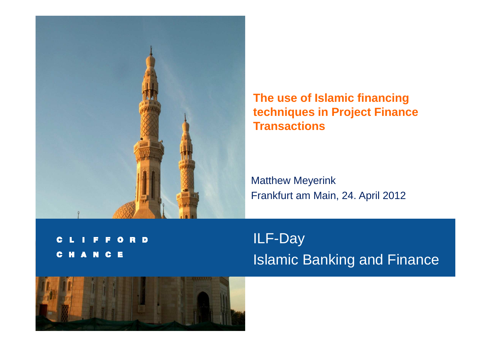

**The use of Islamic financing techniques in Project Finance Transactions**

Matthew MeyerinkFrankfurt am Main, 24. April 2012

**D** R G **HANCE G** 

ILF-Day Islamic Banking and Finance

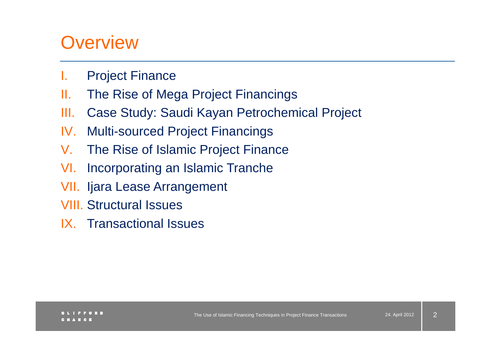### **Overview**

- I.Project Finance
- II.The Rise of Mega Project Financings
- III.Case Study: Saudi Kayan Petrochemical Project
- IV.Multi-sourced Project Financings
- $V_{\cdot}$ The Rise of Islamic Project Finance
- VI.Incorporating an Islamic Tranche
- VII. Ijara Lease Arrangement
- VIII. Structural Issues
- IX. Transactional Issues

2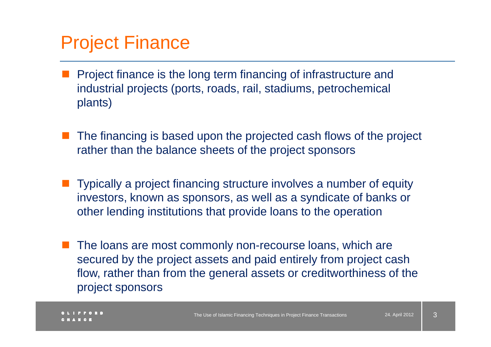#### Project Finance

- $\mathbb{R}^n$  Project finance is the long term financing of infrastructure and industrial projects (ports, roads, rail, stadiums, petrochemical plants)
- $\mathbb{R}^2$  The financing is based upon the projected cash flows of the project rather than the balance sheets of the project sponsors
- Typically a project financing structure involves a number of equity investors, known as sponsors, as well as a syndicate of banks or other lending institutions that provide loans to the operation
- The loans are most commonly non-recourse loans, which are secured by the project assets and paid entirely from project cash flow, rather than from the general assets or creditworthiness of the project sponsors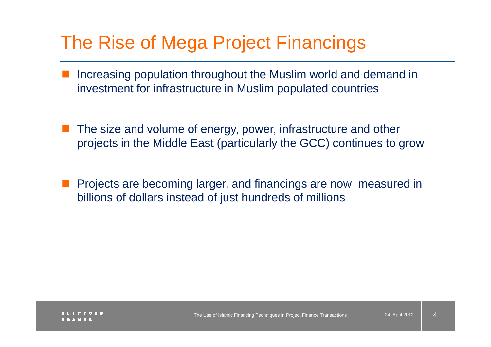## The Rise of Mega Project Financings

- $\mathbb{R}^n$  Increasing population throughout the Muslim world and demand in investment for infrastructure in Muslim populated countries
- The size and volume of energy, power, infrastructure and other projects in the Middle East (particularly the GCC) continues to grow
- Projects are becoming larger, and financings are now measured in billions of dollars instead of just hundreds of millions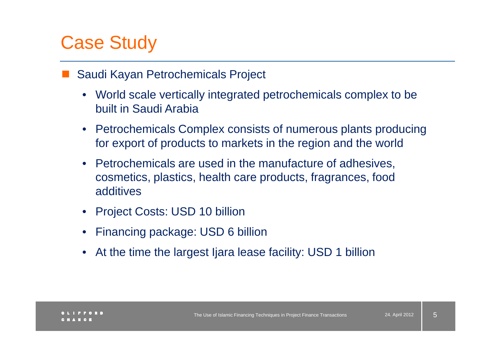# Case Study

#### $\mathbb{R}^n$ Saudi Kayan Petrochemicals Project

- World scale vertically integrated petrochemicals complex to be built in Saudi Arabia
- Petrochemicals Complex consists of numerous plants producing for export of products to markets in the region and the world
- $\bullet$  Petrochemicals are used in the manufacture of adhesives, cosmetics, plastics, health care products, fragrances, food additives
- Project Costs: USD 10 billion
- •Financing package: USD 6 billion
- •At the time the largest Ijara lease facility: USD 1 billion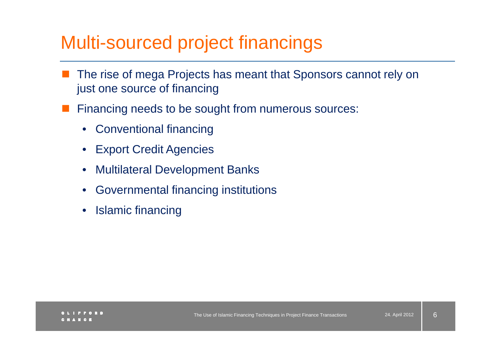# Multi-sourced project financings

- $\mathbb{R}^n$  The rise of mega Projects has meant that Sponsors cannot rely on just one source of financing
- Financing needs to be sought from numerous sources:
	- Conventional financing
	- $\bullet$ Export Credit Agencies
	- $\bullet$ Multilateral Development Banks
	- $\bullet$ Governmental financing institutions
	- •Islamic financing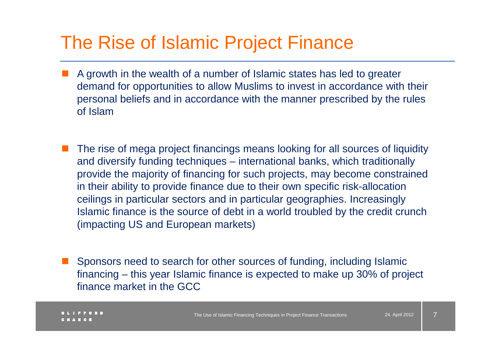### The Rise of Islamic Project Finance

- A growth in the wealth of a number of Islamic states has led to greater demand for opportunities to allow Muslims to invest in accordance with their personal beliefs and in accordance with the manner prescribed by the rules of Islam
- The rise of mega project financings means looking for all sources of liquidity and diversify funding techniques – international banks, which traditionally provide the majority of financing for such projects, may become constrained in their ability to provide finance due to their own specific risk-allocation ceilings in particular sectors and in particular geographies. Increasingly Islamic finance is the source of debt in a world troubled by the credit crunch (impacting US and European markets)
- Sponsors need to search for other sources of funding, including Islamic financing – this year Islamic finance is expected to make up 30% of project finance market in the GCC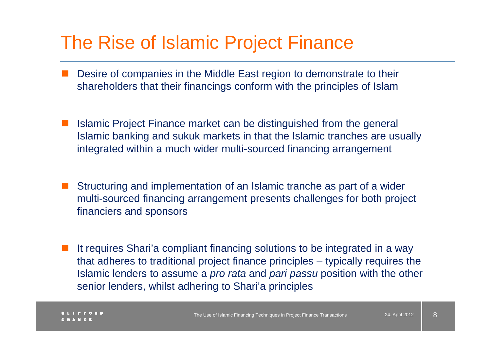#### The Rise of Islamic Project Finance

- Desire of companies in the Middle East region to demonstrate to their shareholders that their financings conform with the principles of Islam
- Islamic Project Finance market can be distinguished from the general Islamic banking and sukuk markets in that the Islamic tranches are usually integrated within a much wider multi-sourced financing arrangement
- Structuring and implementation of an Islamic tranche as part of a wider multi-sourced financing arrangement presents challenges for both project financiers and sponsors
- It requires Shari'a compliant financing solutions to be integrated in a way that adheres to traditional project finance principles – typically requires the Islamic lenders to assume a *pro rata* and *pari passu* position with the other senior lenders, whilst adhering to Shari'a principles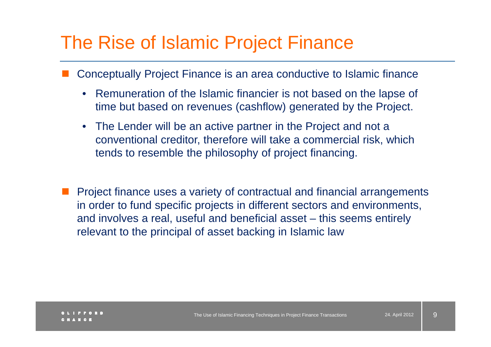## The Rise of Islamic Project Finance

- Conceptually Project Finance is an area conductive to Islamic finance
	- $\bullet$  Remuneration of the Islamic financier is not based on the lapse of time but based on revenues (cashflow) generated by the Project.
	- The Lender will be an active partner in the Project and not a conventional creditor, therefore will take a commercial risk, which tends to resemble the philosophy of project financing.
- $\mathcal{L}_{\mathcal{A}}$  Project finance uses a variety of contractual and financial arrangements in order to fund specific projects in different sectors and environments, and involves a real, useful and beneficial asset – this seems entirely relevant to the principal of asset backing in Islamic law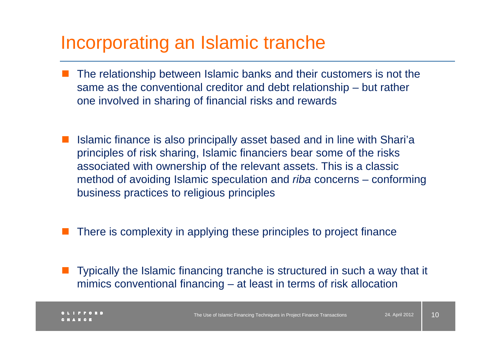#### Incorporating an Islamic tranche

- The relationship between Islamic banks and their customers is not the same as the conventional creditor and debt relationship – but rather one involved in sharing of financial risks and rewards
- Islamic finance is also principally asset based and in line with Shari'a principles of risk sharing, Islamic financiers bear some of the risks associated with ownership of the relevant assets. This is a classic method of avoiding Islamic speculation and *riba* concerns – conforming business practices to religious principles
- $\mathcal{L}_{\mathcal{A}}$ There is complexity in applying these principles to project finance
- $\mathcal{L}_{\mathcal{A}}$  Typically the Islamic financing tranche is structured in such a way that it mimics conventional financing – at least in terms of risk allocation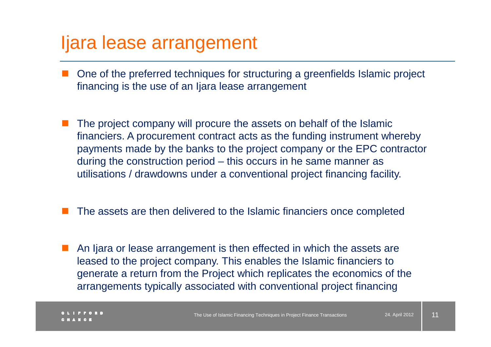#### Ijara lease arrangement

- One of the preferred techniques for structuring a greenfields Islamic project financing is the use of an Ijara lease arrangement
- The project company will procure the assets on behalf of the Islamic financiers. A procurement contract acts as the funding instrument whereby payments made by the banks to the project company or the EPC contractor during the construction period – this occurs in he same manner as utilisations / drawdowns under a conventional project financing facility.
- M. The assets are then delivered to the Islamic financiers once completed
- An Ijara or lease arrangement is then effected in which the assets are leased to the project company. This enables the Islamic financiers to generate a return from the Project which replicates the economics of the arrangements typically associated with conventional project financing

11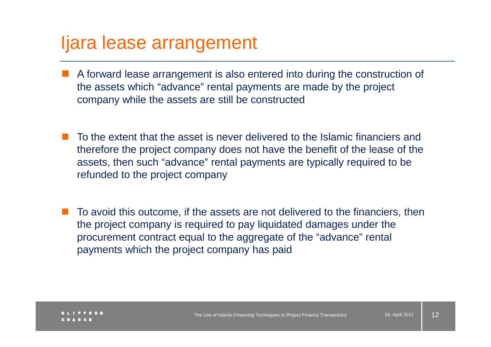#### Ijara lease arrangement

- A forward lease arrangement is also entered into during the construction of the assets which "salvance" rental perments are mode by the project. the assets which "advance" rental payments are made by the project company while the assets are still be constructed
- M. To the extent that the asset is never delivered to the Islamic financiers and therefore the project company does not have the benefit of the lease of the assets, then such "advance" rental payments are typically required to be refunded to the project company
- To avoid this outcome, if the assets are not delivered to the financiers, then the project company is required to pay liquidated damages under the procurement contract equal to the aggregate of the "advance" rental payments which the project company has paid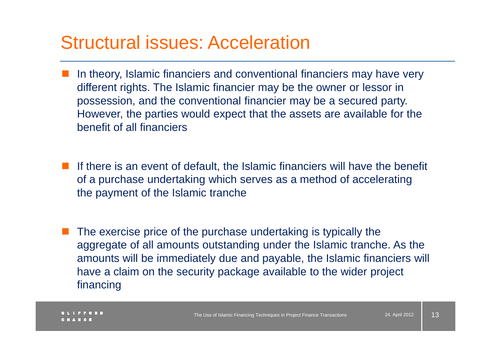#### Structural issues: Acceleration

- In theory, Islamic financiers and conventional financiers may have very different rights. The Islamic financier may be the owner or lessor in possession, and the conventional financier may be a secured party. However, the parties would expect that the assets are available for the benefit of all financiers
- If there is an event of default, the Islamic financiers will have the benefit  $\epsilon$ of a purchase undertaking which serves as a method of accelerating the payment of the Islamic tranche
- $\mathcal{L}_{\mathcal{A}}$  The exercise price of the purchase undertaking is typically the aggregate of all amounts outstanding under the Islamic tranche. As the amounts will be immediately due and payable, the Islamic financiers will have a claim on the security package available to the wider project financing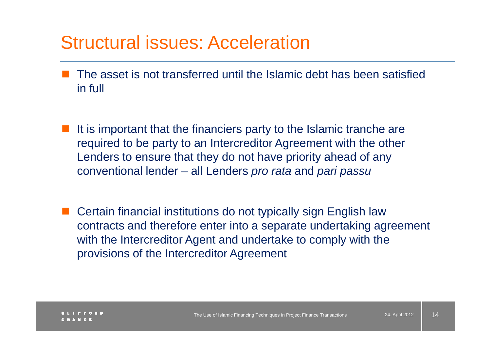#### Structural issues: Acceleration

- $\mathbb{R}^n$  The asset is not transferred until the Islamic debt has been satisfied in full
- It is important that the financiers party to the Islamic tranche are required to be party to an Intercreditor Agreement with the other Lenders to ensure that they do not have priority ahead of any conventional lender –– all Lenders *pro rata* and *pari passu*
- Certain financial institutions do not typically sign English law contracts and therefore enter into a separate undertaking agreement with the Intercreditor Agent and undertake to comply with the provisions of the Intercreditor Agreement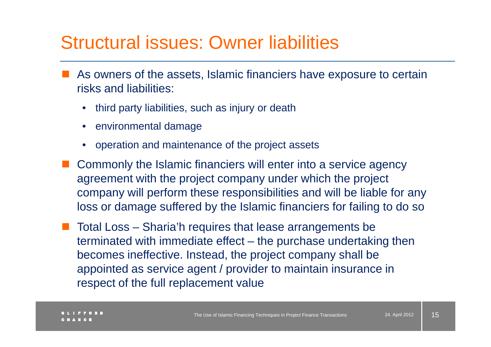#### Structural issues: Owner liabilities

- As owners of the assets, Islamic financiers have exposure to certain<br> risks and liabilities:
	- $\bullet$ third party liabilities, such as injury or death
	- $\bullet$ environmental damage
	- $\bullet$ operation and maintenance of the project assets
- $\mathbb{R}^3$  Commonly the Islamic financiers will enter into a service agency agreement with the project company under which the project company will perform these responsibilities and will be liable for any loss or damage suffered by the Islamic financiers for failing to do so
- Total Loss Sharia'h requires that lease arrangements be terminated with immediate effect – the purchase undertaking then becomes ineffective. Instead, the project company shall be appointed as service agent / provider to maintain insurance in respect of the full replacement value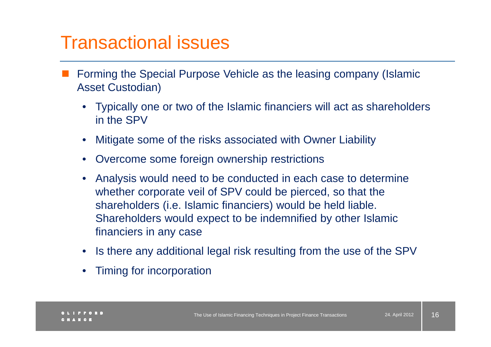- Forming the Special Purpose Vehicle as the leasing company (Islamic Asset Custodian)
	- Typically one or two of the Islamic financiers will act as shareholders in the SPV
	- •Mitigate some of the risks associated with Owner Liabilit y
	- $\bullet$ Overcome some foreign ownership restrictions
	- • Analysis would need to be conducted in each case to determine whether corporate veil of SPV could be pierced, so that the shareholders (i.e. Islamic financiers) would be held liable. Shareholders would expect to be indemnified by other Islamic financiers in any case
	- •Is there any additional legal risk resulting from the use of the SPV
	- •Timing for incorporation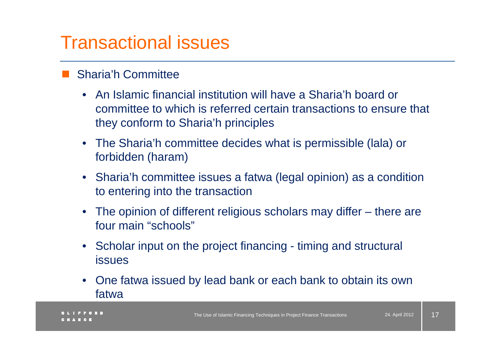#### $\mathbb{R}^n$ Sharia'h Committee

- An Islamic financial institution will have a Sharia'h board or committee to which is referred certain transactions to ensure that they conform to Sharia'h principles
- The Sharia'h committee decides what is permissible (lala) or forbidden (haram)
- Sharia'h committee issues a fatwa (legal opinion) as a condition to entering into the transaction
- The opinion of different religious scholars may differ there are four main "schools"
- Scholar input on the project financing timing and structural issues
- $\bullet$  One fatwa issued by lead bank or each bank to obtain its own fatwa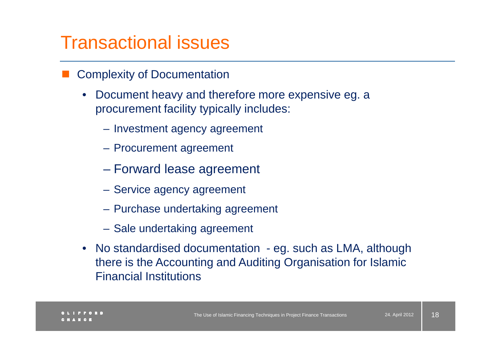- $\mathbb{R}^n$  Complexity of Documentation
	- • Document heavy and therefore more expensive eg. a procurement facility typically includes:
		- Investment agency agreement
		- Procurement agreement
		- $\mathcal{L}_{\mathcal{A}}$  , and the set of the set of the set of the set of the set of the set of the set of the set of the set of the set of the set of the set of the set of the set of the set of the set of the set of the set of th – Forward lease agreement
		- Service agency agreement
		- Purchase undertaking agreement
		- Sale undertaking agreement
	- No standardised documentation eg. such as LMA, although there is the Accounting and Auditing Organisation for Islamic Financial Institutions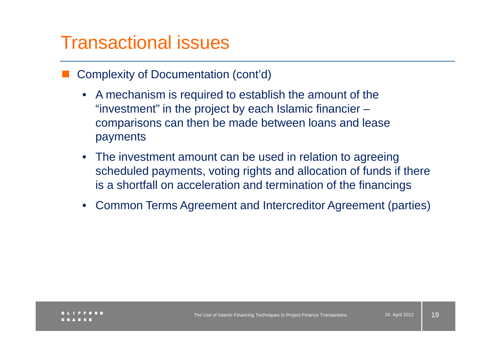- $\mathbb{R}^n$  Complexity of Documentation (cont'd)
	- A mechanism is required to establish the amount of the "investment" in the project by each Islamic financier – comparisons can then be made between loans and lease payments
	- The investment amount can be used in relation to agreeing scheduled payments, voting rights and allocation of funds if there is a shortfall on acceleration and termination of the financings
	- $\bullet$ Common Terms Agreement and Intercreditor Agreement (parties)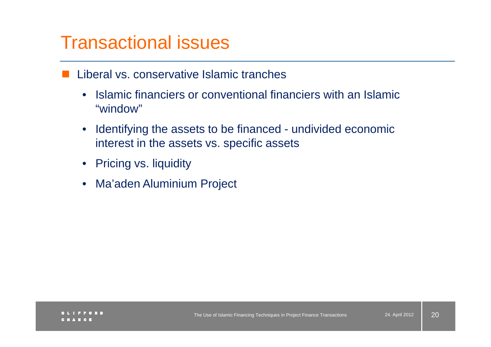- $\mathbb{R}^n$  Liberal vs. conservative Islamic tranches
	- $\bullet$  Islamic financiers or conventional financiers with an Islamic "window"
	- $\bullet$  Identifying the assets to be financed - undivided economic interest in the assets vs. specific assets
	- Pricing vs. liquidity
	- Ma'aden Aluminium Project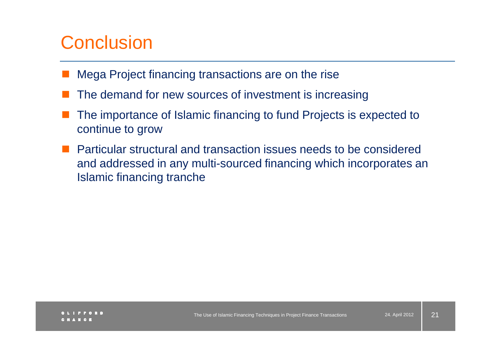## **Conclusion**

- $\mathbb{R}^n$ Mega Project financing transactions are on the rise
- The demand for new sources of investment is increasing
- The importance of Islamic financing to fund Projects is expected to continue to grow
- **Particular structural and transaction issues needs to be considered** and addressed in any multi-sourced financing which incorporates an Islamic financing tranche